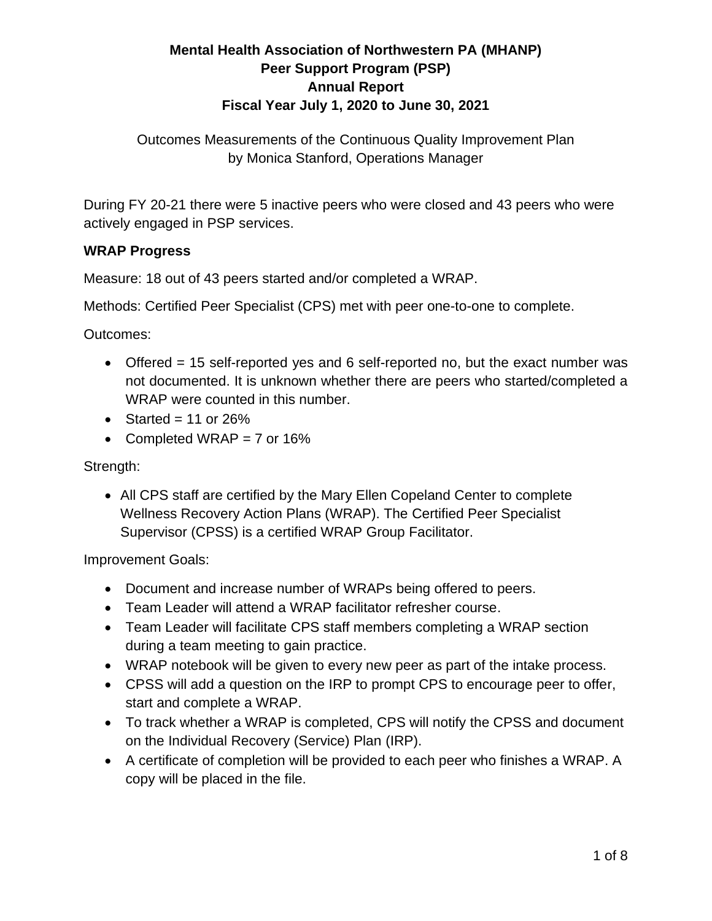Outcomes Measurements of the Continuous Quality Improvement Plan by Monica Stanford, Operations Manager

During FY 20-21 there were 5 inactive peers who were closed and 43 peers who were actively engaged in PSP services.

### **WRAP Progress**

Measure: 18 out of 43 peers started and/or completed a WRAP.

Methods: Certified Peer Specialist (CPS) met with peer one-to-one to complete.

Outcomes:

- Offered = 15 self-reported yes and 6 self-reported no, but the exact number was not documented. It is unknown whether there are peers who started/completed a WRAP were counted in this number.
- Started = 11 or  $26\%$
- Completed WRAP =  $7$  or 16%

Strength:

• All CPS staff are certified by the Mary Ellen Copeland Center to complete Wellness Recovery Action Plans (WRAP). The Certified Peer Specialist Supervisor (CPSS) is a certified WRAP Group Facilitator.

Improvement Goals:

- Document and increase number of WRAPs being offered to peers.
- Team Leader will attend a WRAP facilitator refresher course.
- Team Leader will facilitate CPS staff members completing a WRAP section during a team meeting to gain practice.
- WRAP notebook will be given to every new peer as part of the intake process.
- CPSS will add a question on the IRP to prompt CPS to encourage peer to offer, start and complete a WRAP.
- To track whether a WRAP is completed, CPS will notify the CPSS and document on the Individual Recovery (Service) Plan (IRP).
- A certificate of completion will be provided to each peer who finishes a WRAP. A copy will be placed in the file.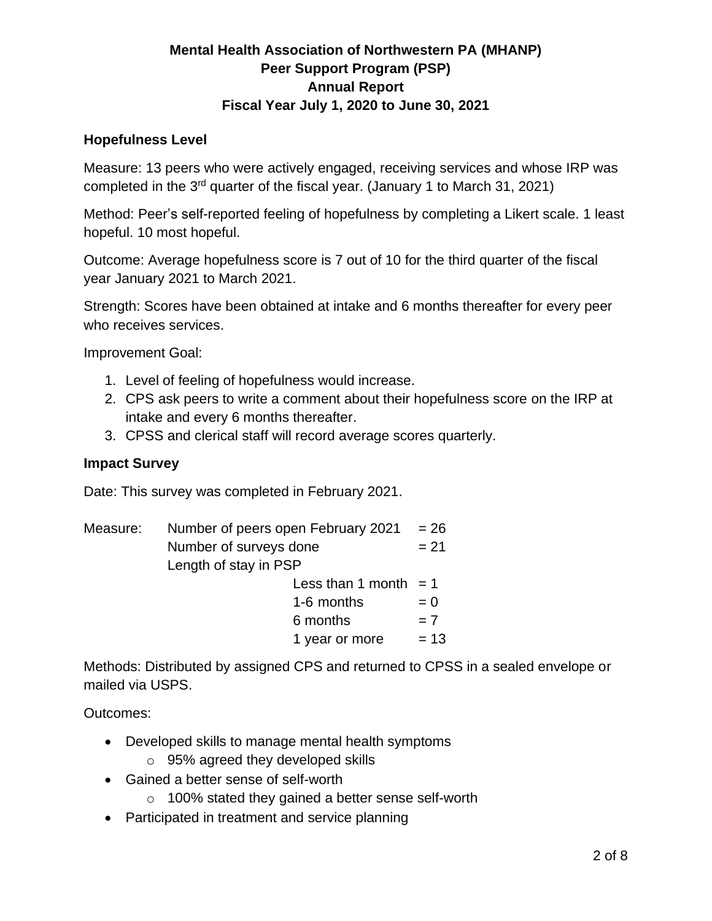#### **Hopefulness Level**

Measure: 13 peers who were actively engaged, receiving services and whose IRP was completed in the 3rd quarter of the fiscal year. (January 1 to March 31, 2021)

Method: Peer's self-reported feeling of hopefulness by completing a Likert scale. 1 least hopeful. 10 most hopeful.

Outcome: Average hopefulness score is 7 out of 10 for the third quarter of the fiscal year January 2021 to March 2021.

Strength: Scores have been obtained at intake and 6 months thereafter for every peer who receives services.

Improvement Goal:

- 1. Level of feeling of hopefulness would increase.
- 2. CPS ask peers to write a comment about their hopefulness score on the IRP at intake and every 6 months thereafter.
- 3. CPSS and clerical staff will record average scores quarterly.

#### **Impact Survey**

Date: This survey was completed in February 2021.

| Measure: | Number of peers open February 2021 | $= 26$ |
|----------|------------------------------------|--------|
|          | Number of surveys done             | $= 21$ |
|          | Length of stay in PSP              |        |
|          | Less than 1 month $= 1$            |        |
|          | 1-6 months                         | $= 0$  |
|          | 6 months                           | $= 7$  |
|          | 1 year or more                     | $= 13$ |

Methods: Distributed by assigned CPS and returned to CPSS in a sealed envelope or mailed via USPS.

Outcomes:

- Developed skills to manage mental health symptoms
	- o 95% agreed they developed skills
- Gained a better sense of self-worth
	- o 100% stated they gained a better sense self-worth
- Participated in treatment and service planning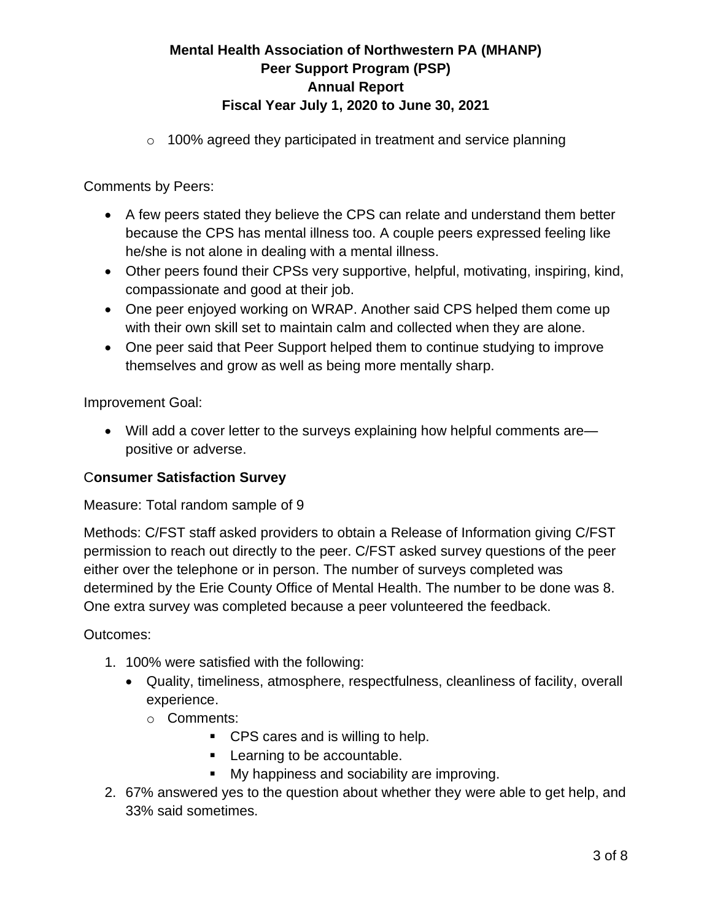o 100% agreed they participated in treatment and service planning

Comments by Peers:

- A few peers stated they believe the CPS can relate and understand them better because the CPS has mental illness too. A couple peers expressed feeling like he/she is not alone in dealing with a mental illness.
- Other peers found their CPSs very supportive, helpful, motivating, inspiring, kind, compassionate and good at their job.
- One peer enjoyed working on WRAP. Another said CPS helped them come up with their own skill set to maintain calm and collected when they are alone.
- One peer said that Peer Support helped them to continue studying to improve themselves and grow as well as being more mentally sharp.

Improvement Goal:

• Will add a cover letter to the surveys explaining how helpful comments are positive or adverse.

### C**onsumer Satisfaction Survey**

### Measure: Total random sample of 9

Methods: C/FST staff asked providers to obtain a Release of Information giving C/FST permission to reach out directly to the peer. C/FST asked survey questions of the peer either over the telephone or in person. The number of surveys completed was determined by the Erie County Office of Mental Health. The number to be done was 8. One extra survey was completed because a peer volunteered the feedback.

### Outcomes:

- 1. 100% were satisfied with the following:
	- Quality, timeliness, atmosphere, respectfulness, cleanliness of facility, overall experience.
		- o Comments:
			- CPS cares and is willing to help.
			- Learning to be accountable.
			- My happiness and sociability are improving.
- 2. 67% answered yes to the question about whether they were able to get help, and 33% said sometimes.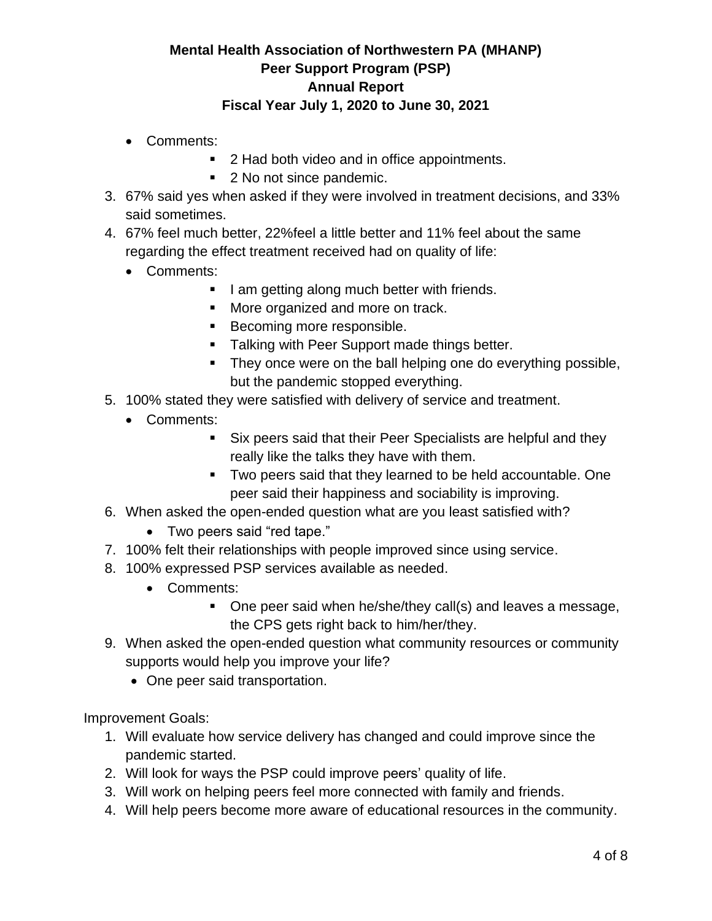- Comments:
	- 2 Had both video and in office appointments.
	- 2 No not since pandemic.
- 3. 67% said yes when asked if they were involved in treatment decisions, and 33% said sometimes.
- 4. 67% feel much better, 22%feel a little better and 11% feel about the same regarding the effect treatment received had on quality of life:
	- Comments:
		- I am getting along much better with friends.
		- More organized and more on track.
		- Becoming more responsible.
		- **EXE** Talking with Peer Support made things better.
		- They once were on the ball helping one do everything possible, but the pandemic stopped everything.
- 5. 100% stated they were satisfied with delivery of service and treatment.
	- Comments:
		- Six peers said that their Peer Specialists are helpful and they really like the talks they have with them.
		- Two peers said that they learned to be held accountable. One peer said their happiness and sociability is improving.
- 6. When asked the open-ended question what are you least satisfied with?
	- Two peers said "red tape."
- 7. 100% felt their relationships with people improved since using service.
- 8. 100% expressed PSP services available as needed.
	- Comments:
		- One peer said when he/she/they call(s) and leaves a message, the CPS gets right back to him/her/they.
- 9. When asked the open-ended question what community resources or community supports would help you improve your life?
	- One peer said transportation.

Improvement Goals:

- 1. Will evaluate how service delivery has changed and could improve since the pandemic started.
- 2. Will look for ways the PSP could improve peers' quality of life.
- 3. Will work on helping peers feel more connected with family and friends.
- 4. Will help peers become more aware of educational resources in the community.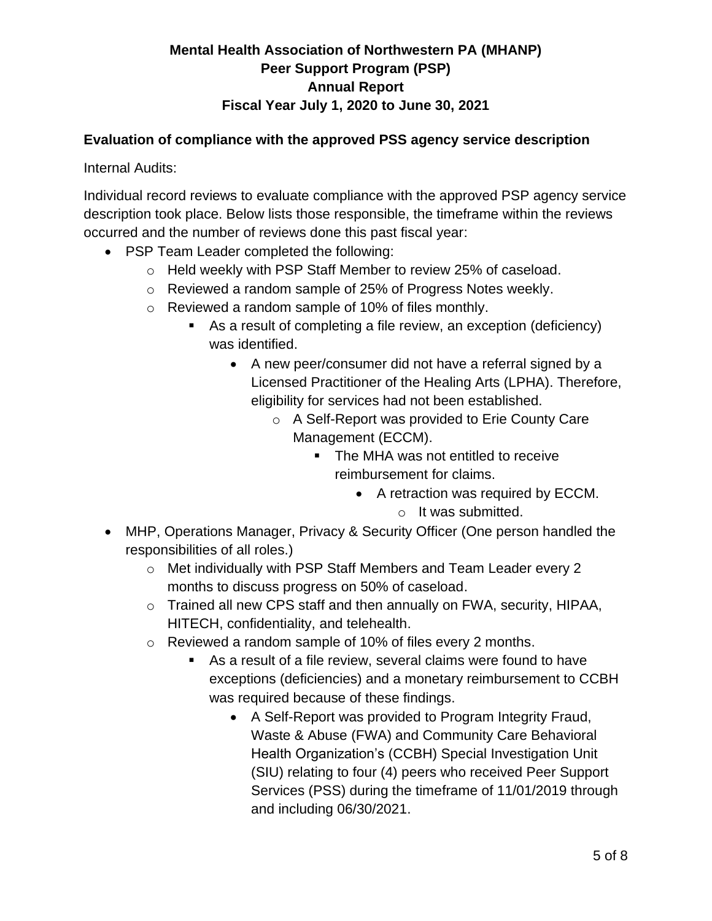#### **Evaluation of compliance with the approved PSS agency service description**

Internal Audits:

Individual record reviews to evaluate compliance with the approved PSP agency service description took place. Below lists those responsible, the timeframe within the reviews occurred and the number of reviews done this past fiscal year:

- PSP Team Leader completed the following:
	- o Held weekly with PSP Staff Member to review 25% of caseload.
	- o Reviewed a random sample of 25% of Progress Notes weekly.
	- o Reviewed a random sample of 10% of files monthly.
		- As a result of completing a file review, an exception (deficiency) was identified.
			- A new peer/consumer did not have a referral signed by a Licensed Practitioner of the Healing Arts (LPHA). Therefore, eligibility for services had not been established.
				- o A Self-Report was provided to Erie County Care Management (ECCM).
					- The MHA was not entitled to receive reimbursement for claims.
						- A retraction was required by ECCM.
							- o It was submitted.
- MHP, Operations Manager, Privacy & Security Officer (One person handled the responsibilities of all roles.)
	- o Met individually with PSP Staff Members and Team Leader every 2 months to discuss progress on 50% of caseload.
	- o Trained all new CPS staff and then annually on FWA, security, HIPAA, HITECH, confidentiality, and telehealth.
	- o Reviewed a random sample of 10% of files every 2 months.
		- As a result of a file review, several claims were found to have exceptions (deficiencies) and a monetary reimbursement to CCBH was required because of these findings.
			- A Self-Report was provided to Program Integrity Fraud, Waste & Abuse (FWA) and Community Care Behavioral Health Organization's (CCBH) Special Investigation Unit (SIU) relating to four (4) peers who received Peer Support Services (PSS) during the timeframe of 11/01/2019 through and including 06/30/2021.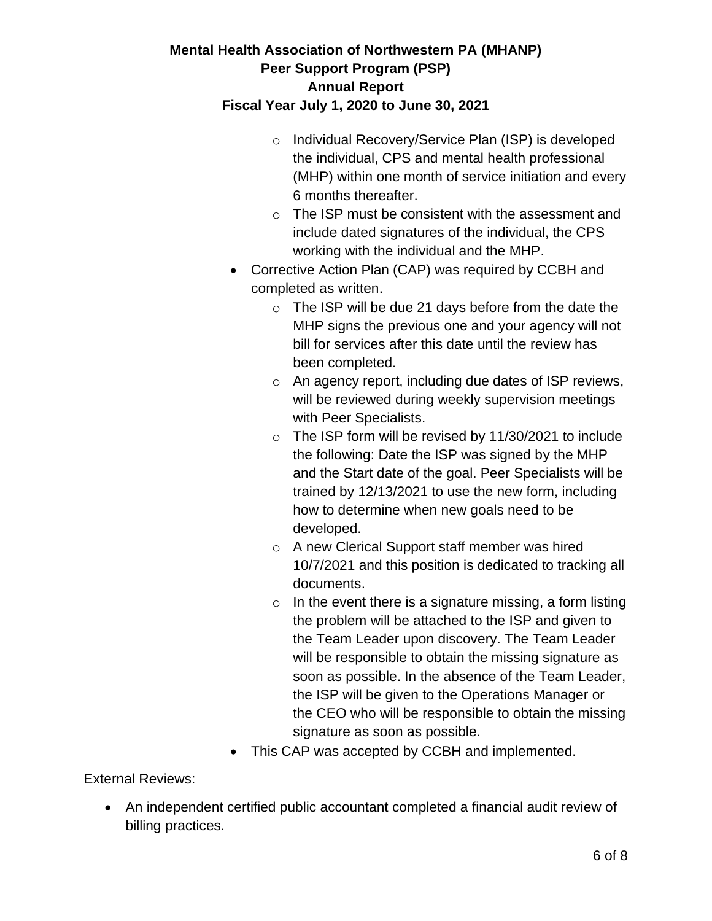# **Mental Health Association of Northwestern PA (MHANP) Peer Support Program (PSP) Annual Report**

### **Fiscal Year July 1, 2020 to June 30, 2021**

- o Individual Recovery/Service Plan (ISP) is developed the individual, CPS and mental health professional (MHP) within one month of service initiation and every 6 months thereafter.
- o The ISP must be consistent with the assessment and include dated signatures of the individual, the CPS working with the individual and the MHP.
- Corrective Action Plan (CAP) was required by CCBH and completed as written.
	- $\circ$  The ISP will be due 21 days before from the date the MHP signs the previous one and your agency will not bill for services after this date until the review has been completed.
	- o An agency report, including due dates of ISP reviews, will be reviewed during weekly supervision meetings with Peer Specialists.
	- o The ISP form will be revised by 11/30/2021 to include the following: Date the ISP was signed by the MHP and the Start date of the goal. Peer Specialists will be trained by 12/13/2021 to use the new form, including how to determine when new goals need to be developed.
	- o A new Clerical Support staff member was hired 10/7/2021 and this position is dedicated to tracking all documents.
	- $\circ$  In the event there is a signature missing, a form listing the problem will be attached to the ISP and given to the Team Leader upon discovery. The Team Leader will be responsible to obtain the missing signature as soon as possible. In the absence of the Team Leader, the ISP will be given to the Operations Manager or the CEO who will be responsible to obtain the missing signature as soon as possible.
- This CAP was accepted by CCBH and implemented.

External Reviews:

• An independent certified public accountant completed a financial audit review of billing practices.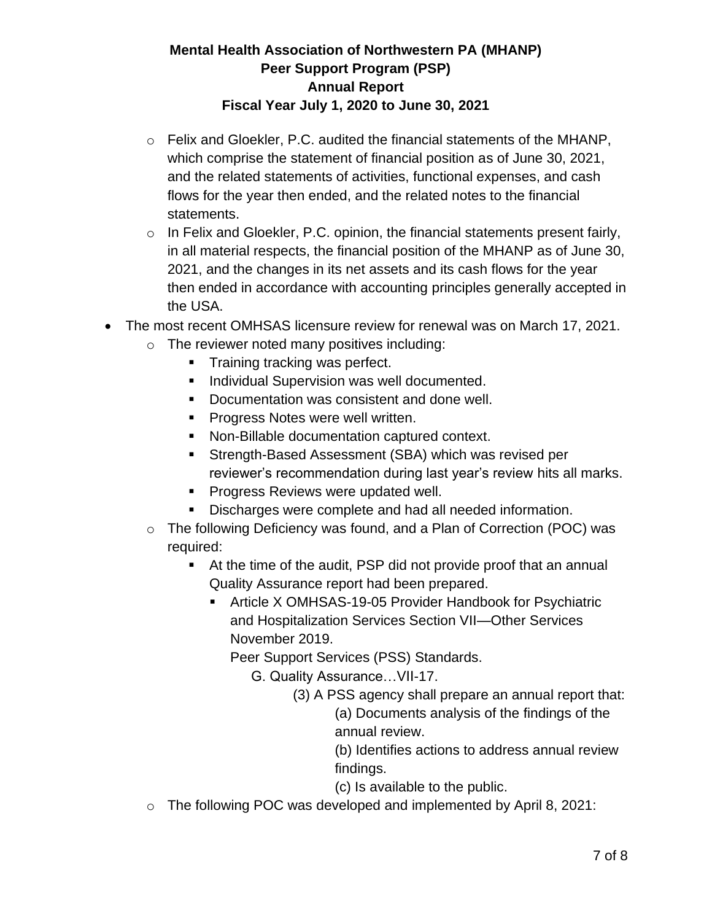- o Felix and Gloekler, P.C. audited the financial statements of the MHANP, which comprise the statement of financial position as of June 30, 2021, and the related statements of activities, functional expenses, and cash flows for the year then ended, and the related notes to the financial statements.
- o In Felix and Gloekler, P.C. opinion, the financial statements present fairly, in all material respects, the financial position of the MHANP as of June 30, 2021, and the changes in its net assets and its cash flows for the year then ended in accordance with accounting principles generally accepted in the USA.
- The most recent OMHSAS licensure review for renewal was on March 17, 2021.
	- $\circ$  The reviewer noted many positives including:
		- **EXECT** Training tracking was perfect.
		- **■** Individual Supervision was well documented.
		- Documentation was consistent and done well.
		- **•** Progress Notes were well written.
		- Non-Billable documentation captured context.
		- Strength-Based Assessment (SBA) which was revised per reviewer's recommendation during last year's review hits all marks.
		- **Progress Reviews were updated well.**
		- Discharges were complete and had all needed information.
	- o The following Deficiency was found, and a Plan of Correction (POC) was required:
		- At the time of the audit, PSP did not provide proof that an annual Quality Assurance report had been prepared.
			- Article X OMHSAS-19-05 Provider Handbook for Psychiatric and Hospitalization Services Section VII—Other Services November 2019.

Peer Support Services (PSS) Standards.

G. Quality Assurance…VII-17.

(3) A PSS agency shall prepare an annual report that: (a) Documents analysis of the findings of the

annual review.

(b) Identifies actions to address annual review findings.

(c) Is available to the public.

o The following POC was developed and implemented by April 8, 2021: